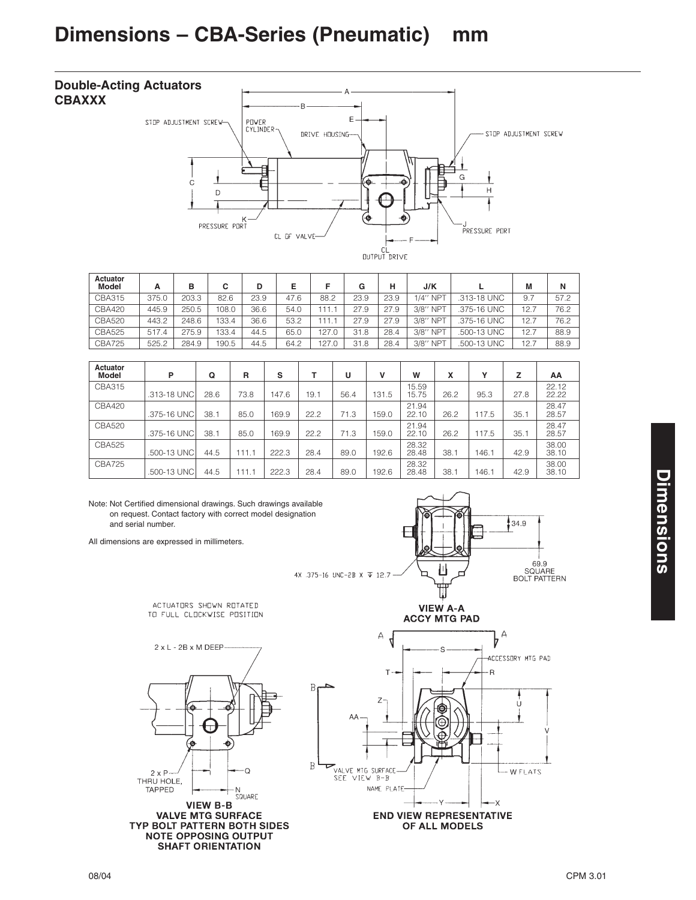## **Dimensions – CBA-Series (Pneumatic) mm**



| Actuator<br><b>Model</b> | А     | в     | C     | D    | Е    |        | G    | н    | J/K                |             | M    | N    |
|--------------------------|-------|-------|-------|------|------|--------|------|------|--------------------|-------------|------|------|
| CBA315                   | 375.0 | 203.3 | 82.6  | 23.9 | 47.6 | 88.2   | 23.9 | 23.9 | $1/4$ " NPT        | .313-18 UNC | 9.7  | 57.2 |
| <b>CBA420</b>            | 445.9 | 250.5 | 108.0 | 36.6 | 54.0 | 11.    | 27.9 | 27.9 | 3/8" NPT           | .375-16 UNC | 12.7 | 76.2 |
| <b>CBA520</b>            | 443.2 | 248.6 | 133.4 | 36.6 | 53.2 | l 11.1 | 27.9 | 27.9 | 3/8"<br><b>NPT</b> | .375-16 UNC | 12.7 | 76.2 |
| <b>CBA525</b>            | 517.4 | 275.9 | 133.4 | 44.5 | 65.0 | 127.0  | 31.8 | 28.4 | 3/8" NPT           | .500-13 UNC | 12.7 | 88.9 |
| <b>CBA725</b>            | 525.2 | 284.9 | 190.5 | 44.5 | 64.2 | 127.0  | 31.8 | 28.4 | 3/8" NPT           | .500-13 UNC | 12.7 | 88.9 |

| Actuator<br><b>Model</b> | P           | Q    | R     | s     | т    | υ    | v     | W              | x    | Υ     | z    | AA             |
|--------------------------|-------------|------|-------|-------|------|------|-------|----------------|------|-------|------|----------------|
| CBA315                   | .313-18 UNC | 28.6 | 73.8  | 147.6 | 19.1 | 56.4 | 131.5 | 15.59<br>15.75 | 26.2 | 95.3  | 27.8 | 22.12<br>22.22 |
| <b>CBA420</b>            | .375-16 UNC | 38.1 | 85.0  | 169.9 | 22.2 | 71.3 | 159.0 | 21.94<br>22.10 | 26.2 | 117.5 | 35.1 | 28.47<br>28.57 |
| <b>CBA520</b>            | .375-16 UNC | 38.1 | 85.0  | 169.9 | 22.2 | 71.3 | 159.0 | 21.94<br>22.10 | 26.2 | 117.5 | 35.1 | 28.47<br>28.57 |
| <b>CBA525</b>            | .500-13 UNC | 44.5 | 111.1 | 222.3 | 28.4 | 89.0 | 192.6 | 28.32<br>28.48 | 38.1 | 146.1 | 42.9 | 38.00<br>38.10 |
| <b>CBA725</b>            | .500-13 UNC | 44.5 | 111.1 | 222.3 | 28.4 | 89.0 | 192.6 | 28.32<br>28.48 | 38.1 | 146.1 | 42.9 | 38.00<br>38.10 |

 $\, {\bf B}$ 

Note: Not Certified dimensional drawings. Such drawings available on request. Contact factory with correct model designation and serial number.

ACTUATORS SHOWN ROTATED

TO FULL CLOCKWISE POSITION

All dimensions are expressed in millimeters.







TYP BOLT PATTERN BOTH SIDES<br>NOTE OPPOSING OUTPUT **SHAFT ORIENTATION** 

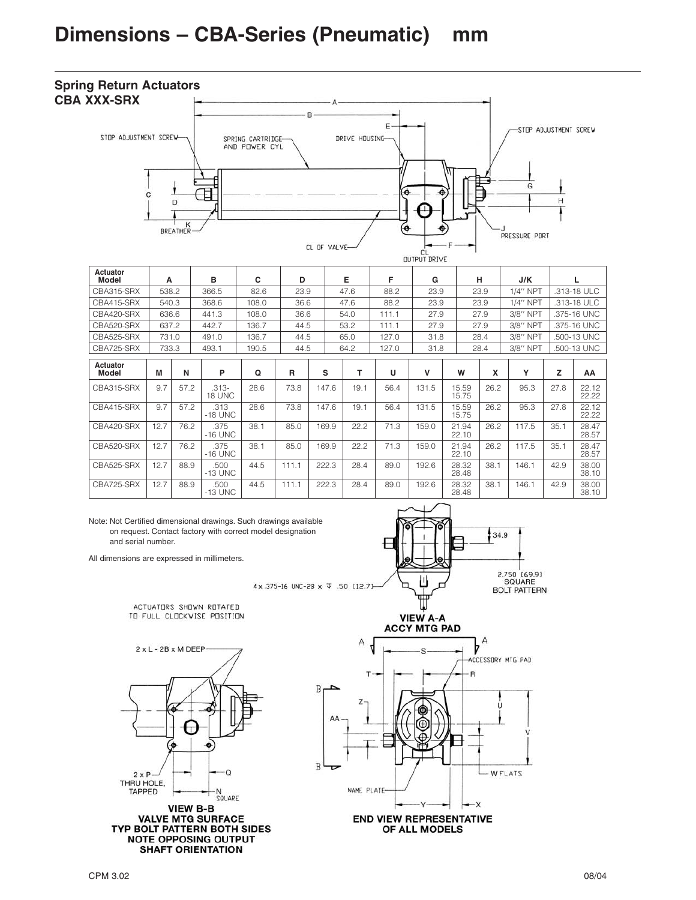## **Spring Return Actuators CBA XXX-SRX**



| Actuator<br>Model        | A     |      | в                 | C     | D     |       | Е    | F     | G     |                | н    | J/K         |      |                |
|--------------------------|-------|------|-------------------|-------|-------|-------|------|-------|-------|----------------|------|-------------|------|----------------|
| CBA315-SRX               | 538.2 |      | 366.5             | 82.6  | 23.9  |       | 47.6 | 88.2  | 23.9  |                | 23.9 | 1/4" NPT    |      | .313-18 ULC    |
| CBA415-SRX               | 540.3 |      | 368.6             | 108.0 | 36.6  |       | 47.6 | 88.2  | 23.9  |                | 23.9 | $1/4$ " NPT |      | .313-18 ULC    |
| CBA420-SRX               | 636.6 |      | 441.3             | 108.0 | 36.6  |       | 54.0 | 111.1 | 27.9  |                | 27.9 | 3/8" NPT    |      | .375-16 UNC    |
| CBA520-SRX               | 637.2 |      | 442.7             | 136.7 | 44.5  |       | 53.2 | 111.1 | 27.9  |                | 27.9 | 3/8" NPT    |      | .375-16 UNC    |
| CBA525-SRX               | 731.0 |      | 491.0             | 136.7 | 44.5  |       | 65.0 | 127.0 | 31.8  |                | 28.4 | 3/8" NPT    |      | .500-13 UNC    |
| CBA725-SRX               | 733.3 |      | 493.1             | 190.5 | 44.5  |       | 64.2 | 127.0 | 31.8  |                | 28.4 | 3/8" NPT    |      | .500-13 UNC    |
| Actuator<br><b>Model</b> | M     | N    | P                 | Q     | R     | s     | т    | U     | v     | W              | X    | Υ           | z    | AA             |
| CBA315-SRX               | 9.7   | 57.2 | $.313-$<br>18 UNC | 28.6  | 73.8  | 147.6 | 19.1 | 56.4  | 131.5 | 15.59<br>15.75 | 26.2 | 95.3        | 27.8 | 22.12<br>22.22 |
| CBA415-SRX               | 9.7   | 57.2 | .313<br>$-18$ UNC | 28.6  | 73.8  | 147.6 | 19.1 | 56.4  | 131.5 | 15.59<br>15.75 | 26.2 | 95.3        | 27.8 | 22.12<br>22.22 |
| CBA420-SRX               | 12.7  | 76.2 | .375<br>$-16$ UNC | 38.1  | 85.0  | 169.9 | 22.2 | 71.3  | 159.0 | 21.94<br>22.10 | 26.2 | 117.5       | 35.1 | 28.47<br>28.57 |
| CBA520-SRX               | 12.7  | 76.2 | .375<br>$-16$ UNC | 38.1  | 85.0  | 169.9 | 22.2 | 71.3  | 159.0 | 21.94<br>22.10 | 26.2 | 117.5       | 35.1 | 28.47<br>28.57 |
| CBA525-SRX               | 12.7  | 88.9 | .500<br>$-13$ UNC | 44.5  | 111.1 | 222.3 | 28.4 | 89.0  | 192.6 | 28.32<br>28.48 | 38.1 | 146.1       | 42.9 | 38.00<br>38.10 |
| CBA725-SRX               | 12.7  | 88.9 | .500<br>$-13$ UNC | 44.5  | 111.1 | 222.3 | 28.4 | 89.0  | 192.6 | 28.32<br>28.48 | 38.1 | 146.1       | 42.9 | 38.00<br>38.10 |

Note: Not Certified dimensional drawings. Such drawings available on request. Contact factory with correct model designation and serial number.

All dimensions are expressed in millimeters.

4x.375-16 UNC-2B x  $\overline{v}$  .50 [12.7]

B

B

ACTUATORS SHOWN ROTATED TO FULL CLOCKWISE POSITION



**VALVE MTG SURFACE** TYP BOLT PATTERN BOTH SIDES **NOTE OPPOSING OUTPUT SHAFT ORIENTATION** 



**VIEW A-A ACCY MTG PAD** 



OF ALL MODELS